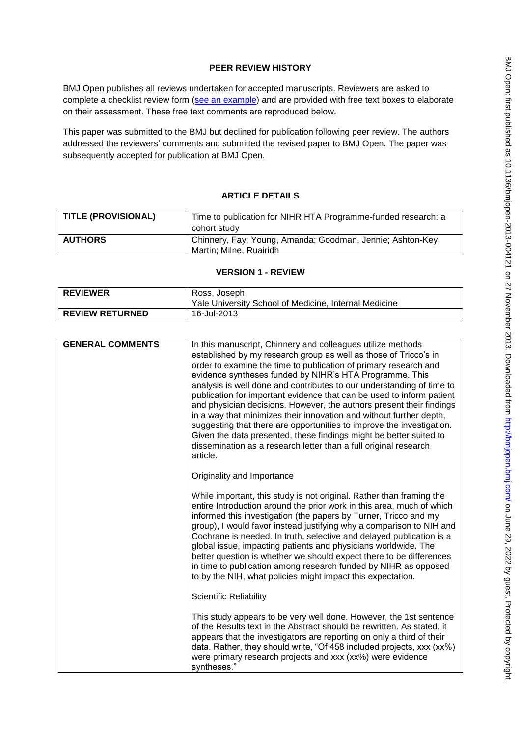# **PEER REVIEW HISTORY**

BMJ Open publishes all reviews undertaken for accepted manuscripts. Reviewers are asked to complete a checklist review form [\(see an example\)](http://bmjopen.bmj.com/site/about/resources/ScholarOne_Manuscripts.pdf) and are provided with free text boxes to elaborate on their assessment. These free text comments are reproduced below.

This paper was submitted to the BMJ but declined for publication following peer review. The authors addressed the reviewers' comments and submitted the revised paper to BMJ Open. The paper was subsequently accepted for publication at BMJ Open.

## **ARTICLE DETAILS**

| <b>TITLE (PROVISIONAL)</b> | Time to publication for NIHR HTA Programme-funded research: a |
|----------------------------|---------------------------------------------------------------|
|                            | cohort study                                                  |
| <b>AUTHORS</b>             | Chinnery, Fay; Young, Amanda; Goodman, Jennie; Ashton-Key,    |
|                            | Martin; Milne, Ruairidh                                       |

## **VERSION 1 - REVIEW**

| <b>REVIEWER</b>        | Ross, Joseph                                          |
|------------------------|-------------------------------------------------------|
|                        | Yale University School of Medicine, Internal Medicine |
| <b>REVIEW RETURNED</b> | 16-Jul-2013                                           |

| <b>GENERAL COMMENTS</b> | In this manuscript, Chinnery and colleagues utilize methods<br>established by my research group as well as those of Tricco's in<br>order to examine the time to publication of primary research and<br>evidence syntheses funded by NIHR's HTA Programme. This                                                                                                                                                                                                                                                                                                                                                                               |
|-------------------------|----------------------------------------------------------------------------------------------------------------------------------------------------------------------------------------------------------------------------------------------------------------------------------------------------------------------------------------------------------------------------------------------------------------------------------------------------------------------------------------------------------------------------------------------------------------------------------------------------------------------------------------------|
|                         | analysis is well done and contributes to our understanding of time to<br>publication for important evidence that can be used to inform patient<br>and physician decisions. However, the authors present their findings<br>in a way that minimizes their innovation and without further depth,<br>suggesting that there are opportunities to improve the investigation.<br>Given the data presented, these findings might be better suited to<br>dissemination as a research letter than a full original research<br>article.                                                                                                                 |
|                         | Originality and Importance                                                                                                                                                                                                                                                                                                                                                                                                                                                                                                                                                                                                                   |
|                         | While important, this study is not original. Rather than framing the<br>entire Introduction around the prior work in this area, much of which<br>informed this investigation (the papers by Turner, Tricco and my<br>group), I would favor instead justifying why a comparison to NIH and<br>Cochrane is needed. In truth, selective and delayed publication is a<br>global issue, impacting patients and physicians worldwide. The<br>better question is whether we should expect there to be differences<br>in time to publication among research funded by NIHR as opposed<br>to by the NIH, what policies might impact this expectation. |
|                         | <b>Scientific Reliability</b>                                                                                                                                                                                                                                                                                                                                                                                                                                                                                                                                                                                                                |
|                         | This study appears to be very well done. However, the 1st sentence<br>of the Results text in the Abstract should be rewritten. As stated, it<br>appears that the investigators are reporting on only a third of their<br>data. Rather, they should write, "Of 458 included projects, xxx (xx%)<br>were primary research projects and xxx (xx%) were evidence<br>syntheses."                                                                                                                                                                                                                                                                  |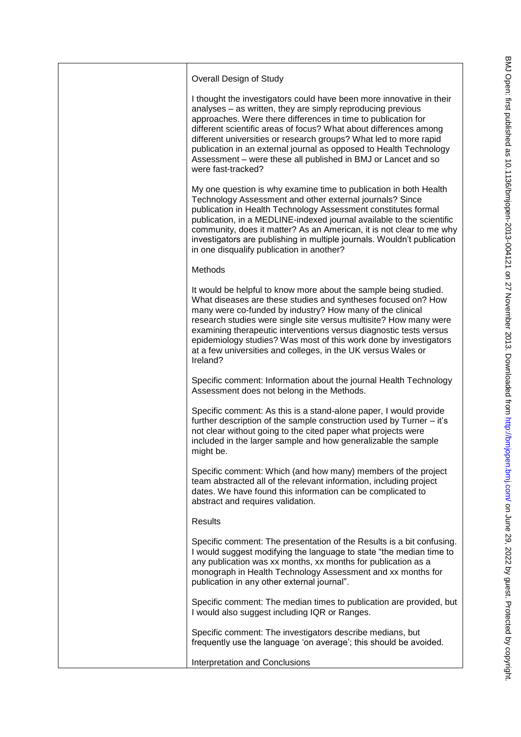| Overall Design of Study                                                                                                                                                                                                                                                                                                                                                                                                                                                                                     |
|-------------------------------------------------------------------------------------------------------------------------------------------------------------------------------------------------------------------------------------------------------------------------------------------------------------------------------------------------------------------------------------------------------------------------------------------------------------------------------------------------------------|
| I thought the investigators could have been more innovative in their<br>analyses - as written, they are simply reproducing previous<br>approaches. Were there differences in time to publication for<br>different scientific areas of focus? What about differences among<br>different universities or research groups? What led to more rapid<br>publication in an external journal as opposed to Health Technology<br>Assessment - were these all published in BMJ or Lancet and so<br>were fast-tracked? |
| My one question is why examine time to publication in both Health<br>Technology Assessment and other external journals? Since<br>publication in Health Technology Assessment constitutes formal<br>publication, in a MEDLINE-indexed journal available to the scientific<br>community, does it matter? As an American, it is not clear to me why<br>investigators are publishing in multiple journals. Wouldn't publication<br>in one disqualify publication in another?                                    |
| Methods                                                                                                                                                                                                                                                                                                                                                                                                                                                                                                     |
| It would be helpful to know more about the sample being studied.<br>What diseases are these studies and syntheses focused on? How<br>many were co-funded by industry? How many of the clinical<br>research studies were single site versus multisite? How many were<br>examining therapeutic interventions versus diagnostic tests versus<br>epidemiology studies? Was most of this work done by investigators<br>at a few universities and colleges, in the UK versus Wales or<br>Ireland?                 |
| Specific comment: Information about the journal Health Technology<br>Assessment does not belong in the Methods.                                                                                                                                                                                                                                                                                                                                                                                             |
| Specific comment: As this is a stand-alone paper, I would provide<br>further description of the sample construction used by Turner - it's<br>not clear without going to the cited paper what projects were<br>included in the larger sample and how generalizable the sample<br>might be.                                                                                                                                                                                                                   |
| Specific comment: Which (and how many) members of the project<br>team abstracted all of the relevant information, including project<br>dates. We have found this information can be complicated to<br>abstract and requires validation.                                                                                                                                                                                                                                                                     |
| <b>Results</b>                                                                                                                                                                                                                                                                                                                                                                                                                                                                                              |
| Specific comment: The presentation of the Results is a bit confusing.<br>I would suggest modifying the language to state "the median time to<br>any publication was xx months, xx months for publication as a<br>monograph in Health Technology Assessment and xx months for<br>publication in any other external journal".                                                                                                                                                                                 |
| Specific comment: The median times to publication are provided, but<br>I would also suggest including IQR or Ranges.                                                                                                                                                                                                                                                                                                                                                                                        |
| Specific comment: The investigators describe medians, but<br>frequently use the language 'on average'; this should be avoided.                                                                                                                                                                                                                                                                                                                                                                              |
| Interpretation and Conclusions                                                                                                                                                                                                                                                                                                                                                                                                                                                                              |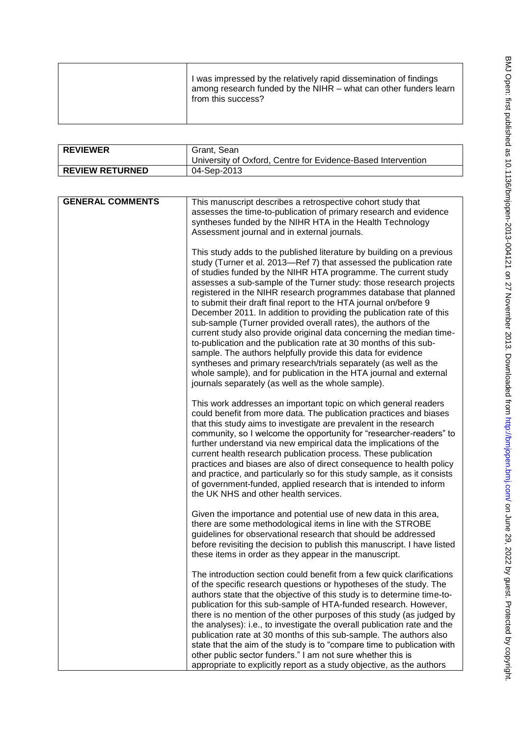| j                                                                                                                                                                                                                              |
|--------------------------------------------------------------------------------------------------------------------------------------------------------------------------------------------------------------------------------|
|                                                                                                                                                                                                                                |
| ì                                                                                                                                                                                                                              |
|                                                                                                                                                                                                                                |
|                                                                                                                                                                                                                                |
| ١                                                                                                                                                                                                                              |
| ١                                                                                                                                                                                                                              |
|                                                                                                                                                                                                                                |
| - Chance on Indianapolitation of the Chance Indian South College Collors Controlled Controlled College College College College College College College College College College College College College College College College |
|                                                                                                                                                                                                                                |
|                                                                                                                                                                                                                                |
|                                                                                                                                                                                                                                |
|                                                                                                                                                                                                                                |
|                                                                                                                                                                                                                                |
| 5                                                                                                                                                                                                                              |
| $\ddot{\phantom{a}}$                                                                                                                                                                                                           |
|                                                                                                                                                                                                                                |
|                                                                                                                                                                                                                                |
|                                                                                                                                                                                                                                |
|                                                                                                                                                                                                                                |
|                                                                                                                                                                                                                                |
|                                                                                                                                                                                                                                |
|                                                                                                                                                                                                                                |
|                                                                                                                                                                                                                                |
| <b>2013-00/1121 00 27 NL</b>                                                                                                                                                                                                   |
|                                                                                                                                                                                                                                |
|                                                                                                                                                                                                                                |
|                                                                                                                                                                                                                                |
|                                                                                                                                                                                                                                |
|                                                                                                                                                                                                                                |
|                                                                                                                                                                                                                                |
|                                                                                                                                                                                                                                |
|                                                                                                                                                                                                                                |
| ,<br>,                                                                                                                                                                                                                         |
|                                                                                                                                                                                                                                |
| ,<br>,<br>,<br>,<br>,<br>,                                                                                                                                                                                                     |
|                                                                                                                                                                                                                                |
|                                                                                                                                                                                                                                |
|                                                                                                                                                                                                                                |
|                                                                                                                                                                                                                                |
| )<br>}<br>}                                                                                                                                                                                                                    |
|                                                                                                                                                                                                                                |
|                                                                                                                                                                                                                                |
|                                                                                                                                                                                                                                |
| ug//cu                                                                                                                                                                                                                         |
|                                                                                                                                                                                                                                |
|                                                                                                                                                                                                                                |
|                                                                                                                                                                                                                                |
|                                                                                                                                                                                                                                |
|                                                                                                                                                                                                                                |
|                                                                                                                                                                                                                                |
|                                                                                                                                                                                                                                |
|                                                                                                                                                                                                                                |
|                                                                                                                                                                                                                                |
|                                                                                                                                                                                                                                |
|                                                                                                                                                                                                                                |
|                                                                                                                                                                                                                                |
| ١<br>I                                                                                                                                                                                                                         |
|                                                                                                                                                                                                                                |
|                                                                                                                                                                                                                                |
| $\frac{1}{2}$                                                                                                                                                                                                                  |
|                                                                                                                                                                                                                                |
|                                                                                                                                                                                                                                |
|                                                                                                                                                                                                                                |
| ļ                                                                                                                                                                                                                              |
| ł<br>I                                                                                                                                                                                                                         |
|                                                                                                                                                                                                                                |
| J<br>١                                                                                                                                                                                                                         |
|                                                                                                                                                                                                                                |
|                                                                                                                                                                                                                                |
|                                                                                                                                                                                                                                |
|                                                                                                                                                                                                                                |
|                                                                                                                                                                                                                                |
|                                                                                                                                                                                                                                |
|                                                                                                                                                                                                                                |
| ٦<br>I<br>٦                                                                                                                                                                                                                    |

| I was impressed by the relatively rapid dissemination of findings<br>among research funded by the NIHR – what can other funders learn<br>from this success? |
|-------------------------------------------------------------------------------------------------------------------------------------------------------------|
|-------------------------------------------------------------------------------------------------------------------------------------------------------------|

| <b>REVIEWER</b>        | Grant, Sean<br>University of Oxford, Centre for Evidence-Based Intervention |
|------------------------|-----------------------------------------------------------------------------|
| <b>REVIEW RETURNED</b> | 04-Sep-2013                                                                 |

| <b>GENERAL COMMENTS</b> | This manuscript describes a retrospective cohort study that<br>assesses the time-to-publication of primary research and evidence<br>syntheses funded by the NIHR HTA in the Health Technology<br>Assessment journal and in external journals.                                                                                                                                                                                                                                                                                                                                                                                                                                                                                                                                                                                                                                                                                                                                        |
|-------------------------|--------------------------------------------------------------------------------------------------------------------------------------------------------------------------------------------------------------------------------------------------------------------------------------------------------------------------------------------------------------------------------------------------------------------------------------------------------------------------------------------------------------------------------------------------------------------------------------------------------------------------------------------------------------------------------------------------------------------------------------------------------------------------------------------------------------------------------------------------------------------------------------------------------------------------------------------------------------------------------------|
|                         | This study adds to the published literature by building on a previous<br>study (Turner et al. 2013-Ref 7) that assessed the publication rate<br>of studies funded by the NIHR HTA programme. The current study<br>assesses a sub-sample of the Turner study: those research projects<br>registered in the NIHR research programmes database that planned<br>to submit their draft final report to the HTA journal on/before 9<br>December 2011. In addition to providing the publication rate of this<br>sub-sample (Turner provided overall rates), the authors of the<br>current study also provide original data concerning the median time-<br>to-publication and the publication rate at 30 months of this sub-<br>sample. The authors helpfully provide this data for evidence<br>syntheses and primary research/trials separately (as well as the<br>whole sample), and for publication in the HTA journal and external<br>journals separately (as well as the whole sample). |
|                         | This work addresses an important topic on which general readers<br>could benefit from more data. The publication practices and biases<br>that this study aims to investigate are prevalent in the research<br>community, so I welcome the opportunity for "researcher-readers" to<br>further understand via new empirical data the implications of the<br>current health research publication process. These publication<br>practices and biases are also of direct consequence to health policy<br>and practice, and particularly so for this study sample, as it consists<br>of government-funded, applied research that is intended to inform<br>the UK NHS and other health services.                                                                                                                                                                                                                                                                                            |
|                         | Given the importance and potential use of new data in this area,<br>there are some methodological items in line with the STROBE<br>guidelines for observational research that should be addressed<br>before revisiting the decision to publish this manuscript. I have listed<br>these items in order as they appear in the manuscript.                                                                                                                                                                                                                                                                                                                                                                                                                                                                                                                                                                                                                                              |
|                         | The introduction section could benefit from a few quick clarifications<br>of the specific research questions or hypotheses of the study. The<br>authors state that the objective of this study is to determine time-to-<br>publication for this sub-sample of HTA-funded research. However,<br>there is no mention of the other purposes of this study (as judged by<br>the analyses): i.e., to investigate the overall publication rate and the<br>publication rate at 30 months of this sub-sample. The authors also<br>state that the aim of the study is to "compare time to publication with<br>other public sector funders." I am not sure whether this is<br>appropriate to explicitly report as a study objective, as the authors                                                                                                                                                                                                                                            |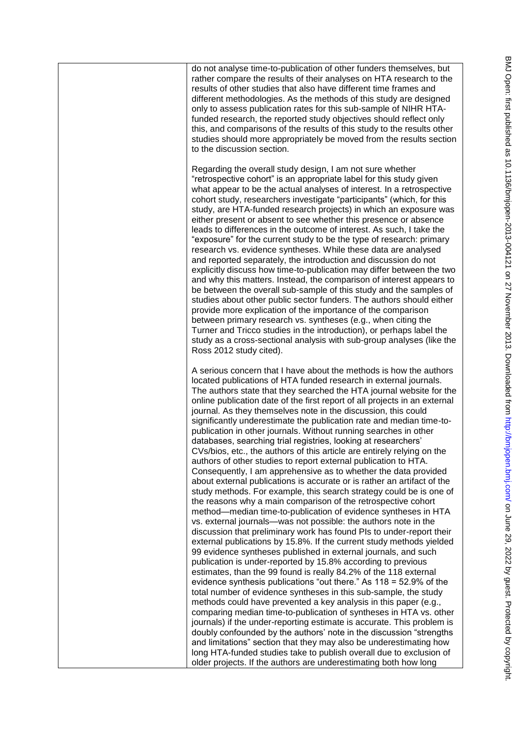do not analyse time-to-publication of other funders themselves, but rather compare the results of their analyses on HTA research to the results of other studies that also have different time frames and different methodologies. As the methods of this study are designed only to assess publication rates for this sub-sample of NIHR HTAfunded research, the reported study objectives should reflect only this, and comparisons of the results of this study to the results other studies should more appropriately be moved from the results section to the discussion section.

Regarding the overall study design, I am not sure whether "retrospective cohort" is an appropriate label for this study given what appear to be the actual analyses of interest. In a retrospective cohort study, researchers investigate "participants" (which, for this study, are HTA-funded research projects) in which an exposure was either present or absent to see whether this presence or absence leads to differences in the outcome of interest. As such, I take the "exposure" for the current study to be the type of research: primary research vs. evidence syntheses. While these data are analysed and reported separately, the introduction and discussion do not explicitly discuss how time-to-publication may differ between the two and why this matters. Instead, the comparison of interest appears to be between the overall sub-sample of this study and the samples of studies about other public sector funders. The authors should either provide more explication of the importance of the comparison between primary research vs. syntheses (e.g., when citing the Turner and Tricco studies in the introduction), or perhaps label the study as a cross-sectional analysis with sub-group analyses (like the Ross 2012 study cited).

A serious concern that I have about the methods is how the authors located publications of HTA funded research in external journals. The authors state that they searched the HTA journal website for the online publication date of the first report of all projects in an external journal. As they themselves note in the discussion, this could significantly underestimate the publication rate and median time-topublication in other journals. Without running searches in other databases, searching trial registries, looking at researchers' CVs/bios, etc., the authors of this article are entirely relying on the authors of other studies to report external publication to HTA. Consequently, I am apprehensive as to whether the data provided about external publications is accurate or is rather an artifact of the study methods. For example, this search strategy could be is one of the reasons why a main comparison of the retrospective cohort method—median time-to-publication of evidence syntheses in HTA vs. external journals—was not possible: the authors note in the discussion that preliminary work has found PIs to under-report their external publications by 15.8%. If the current study methods yielded 99 evidence syntheses published in external journals, and such publication is under-reported by 15.8% according to previous estimates, than the 99 found is really 84.2% of the 118 external evidence synthesis publications "out there." As  $118 = 52.9\%$  of the total number of evidence syntheses in this sub-sample, the study methods could have prevented a key analysis in this paper (e.g., comparing median time-to-publication of syntheses in HTA vs. other journals) if the under-reporting estimate is accurate. This problem is doubly confounded by the authors' note in the discussion "strengths and limitations" section that they may also be underestimating how long HTA-funded studies take to publish overall due to exclusion of older projects. If the authors are underestimating both how long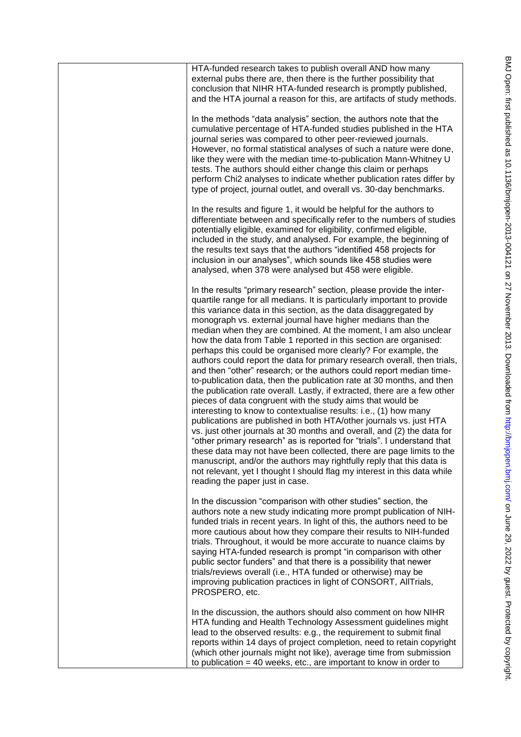| HTA-funded research takes to publish overall AND how many<br>external pubs there are, then there is the further possibility that<br>conclusion that NIHR HTA-funded research is promptly published,<br>and the HTA journal a reason for this, are artifacts of study methods.                                                                                                                                                                                                                                                                                                                                                                                                                                                                                                                                                                                                                                                                                                                                                                                                                                                                                                                                                                                                                                                                                                                                                      |
|------------------------------------------------------------------------------------------------------------------------------------------------------------------------------------------------------------------------------------------------------------------------------------------------------------------------------------------------------------------------------------------------------------------------------------------------------------------------------------------------------------------------------------------------------------------------------------------------------------------------------------------------------------------------------------------------------------------------------------------------------------------------------------------------------------------------------------------------------------------------------------------------------------------------------------------------------------------------------------------------------------------------------------------------------------------------------------------------------------------------------------------------------------------------------------------------------------------------------------------------------------------------------------------------------------------------------------------------------------------------------------------------------------------------------------|
| In the methods "data analysis" section, the authors note that the<br>cumulative percentage of HTA-funded studies published in the HTA<br>journal series was compared to other peer-reviewed journals.<br>However, no formal statistical analyses of such a nature were done,<br>like they were with the median time-to-publication Mann-Whitney U<br>tests. The authors should either change this claim or perhaps<br>perform Chi2 analyses to indicate whether publication rates differ by<br>type of project, journal outlet, and overall vs. 30-day benchmarks.                                                                                                                                                                                                                                                                                                                                                                                                                                                                                                                                                                                                                                                                                                                                                                                                                                                                 |
| In the results and figure 1, it would be helpful for the authors to<br>differentiate between and specifically refer to the numbers of studies<br>potentially eligible, examined for eligibility, confirmed eligible,<br>included in the study, and analysed. For example, the beginning of<br>the results text says that the authors "identified 458 projects for<br>inclusion in our analyses", which sounds like 458 studies were<br>analysed, when 378 were analysed but 458 were eligible.                                                                                                                                                                                                                                                                                                                                                                                                                                                                                                                                                                                                                                                                                                                                                                                                                                                                                                                                     |
| In the results "primary research" section, please provide the inter-<br>quartile range for all medians. It is particularly important to provide<br>this variance data in this section, as the data disaggregated by<br>monograph vs. external journal have higher medians than the<br>median when they are combined. At the moment, I am also unclear<br>how the data from Table 1 reported in this section are organised:<br>perhaps this could be organised more clearly? For example, the<br>authors could report the data for primary research overall, then trials,<br>and then "other" research; or the authors could report median time-<br>to-publication data, then the publication rate at 30 months, and then<br>the publication rate overall. Lastly, if extracted, there are a few other<br>pieces of data congruent with the study aims that would be<br>interesting to know to contextualise results: i.e., (1) how many<br>publications are published in both HTA/other journals vs. just HTA<br>vs. just other journals at 30 months and overall, and (2) the data for<br>"other primary research" as is reported for "trials". I understand that<br>these data may not have been collected, there are page limits to the<br>manuscript, and/or the authors may rightfully reply that this data is<br>not relevant, yet I thought I should flag my interest in this data while<br>reading the paper just in case. |
| In the discussion "comparison with other studies" section, the<br>authors note a new study indicating more prompt publication of NIH-<br>funded trials in recent years. In light of this, the authors need to be<br>more cautious about how they compare their results to NIH-funded<br>trials. Throughout, it would be more accurate to nuance claims by<br>saying HTA-funded research is prompt "in comparison with other<br>public sector funders" and that there is a possibility that newer<br>trials/reviews overall (i.e., HTA funded or otherwise) may be<br>improving publication practices in light of CONSORT, AllTrials,<br>PROSPERO, etc.                                                                                                                                                                                                                                                                                                                                                                                                                                                                                                                                                                                                                                                                                                                                                                             |
| In the discussion, the authors should also comment on how NIHR<br>HTA funding and Health Technology Assessment guidelines might<br>lead to the observed results: e.g., the requirement to submit final<br>reports within 14 days of project completion, need to retain copyright<br>(which other journals might not like), average time from submission<br>to publication $= 40$ weeks, etc., are important to know in order to                                                                                                                                                                                                                                                                                                                                                                                                                                                                                                                                                                                                                                                                                                                                                                                                                                                                                                                                                                                                    |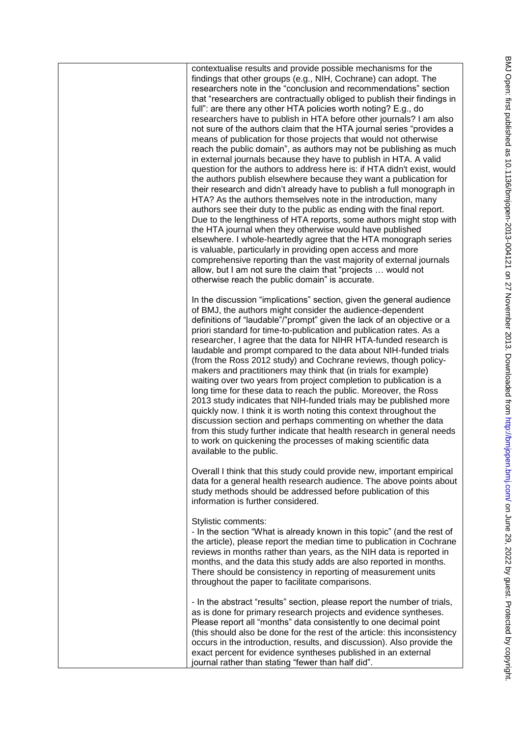contextualise results and provide possible mechanisms for the findings that other groups (e.g., NIH, Cochrane) can adopt. The researchers note in the "conclusion and recommendations" section that "researchers are contractually obliged to publish their findings in full": are there any other HTA policies worth noting? E.g., do researchers have to publish in HTA before other journals? I am also not sure of the authors claim that the HTA journal series "provides a means of publication for those projects that would not otherwise reach the public domain", as authors may not be publishing as much in external journals because they have to publish in HTA. A valid question for the authors to address here is: if HTA didn't exist, would the authors publish elsewhere because they want a publication for their research and didn't already have to publish a full monograph in HTA? As the authors themselves note in the introduction, many authors see their duty to the public as ending with the final report. Due to the lengthiness of HTA reports, some authors might stop with the HTA journal when they otherwise would have published elsewhere. I whole-heartedly agree that the HTA monograph series is valuable, particularly in providing open access and more comprehensive reporting than the vast majority of external journals allow, but I am not sure the claim that "projects ... would not otherwise reach the public domain" is accurate. In the discussion "implications" section, given the general audience of BMJ, the authors might consider the audience-dependent definitions of "laudable"/"prompt" given the lack of an objective or a priori standard for time-to-publication and publication rates. As a researcher, I agree that the data for NIHR HTA-funded research is laudable and prompt compared to the data about NIH-funded trials (from the Ross 2012 study) and Cochrane reviews, though policymakers and practitioners may think that (in trials for example) waiting over two years from project completion to publication is a long time for these data to reach the public. Moreover, the Ross 2013 study indicates that NIH-funded trials may be published more quickly now. I think it is worth noting this context throughout the discussion section and perhaps commenting on whether the data from this study further indicate that health research in general needs to work on quickening the processes of making scientific data available to the public. Overall I think that this study could provide new, important empirical data for a general health research audience. The above points about study methods should be addressed before publication of this information is further considered. Stylistic comments: - In the section "What is already known in this topic" (and the rest of the article), please report the median time to publication in Cochrane reviews in months rather than years, as the NIH data is reported in months, and the data this study adds are also reported in months. There should be consistency in reporting of measurement units throughout the paper to facilitate comparisons. - In the abstract "results" section, please report the number of trials,

as is done for primary research projects and evidence syntheses. Please report all "months" data consistently to one decimal point (this should also be done for the rest of the article: this inconsistency occurs in the introduction, results, and discussion). Also provide the exact percent for evidence syntheses published in an external journal rather than stating "fewer than half did".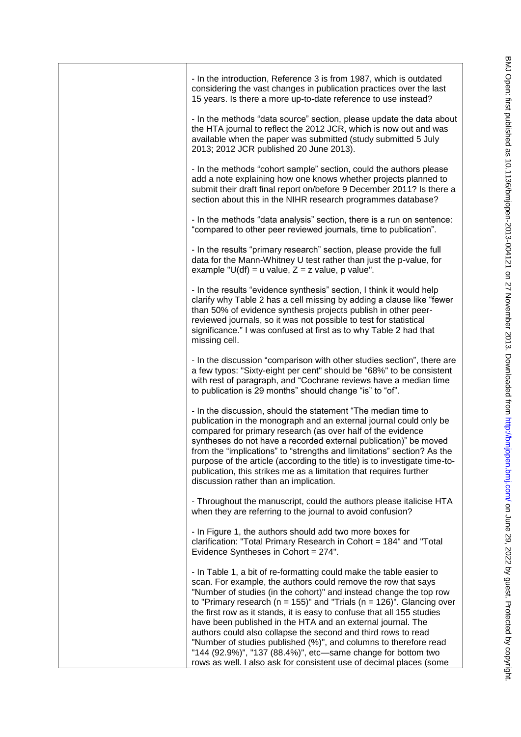| - In the introduction, Reference 3 is from 1987, which is outdated<br>considering the vast changes in publication practices over the last<br>15 years. Is there a more up-to-date reference to use instead?                                                                                                                                                                                                                                                                                                                                                                                                                                                                                                      |
|------------------------------------------------------------------------------------------------------------------------------------------------------------------------------------------------------------------------------------------------------------------------------------------------------------------------------------------------------------------------------------------------------------------------------------------------------------------------------------------------------------------------------------------------------------------------------------------------------------------------------------------------------------------------------------------------------------------|
| - In the methods "data source" section, please update the data about<br>the HTA journal to reflect the 2012 JCR, which is now out and was<br>available when the paper was submitted (study submitted 5 July<br>2013; 2012 JCR published 20 June 2013).                                                                                                                                                                                                                                                                                                                                                                                                                                                           |
| - In the methods "cohort sample" section, could the authors please<br>add a note explaining how one knows whether projects planned to<br>submit their draft final report on/before 9 December 2011? Is there a<br>section about this in the NIHR research programmes database?                                                                                                                                                                                                                                                                                                                                                                                                                                   |
| - In the methods "data analysis" section, there is a run on sentence:<br>"compared to other peer reviewed journals, time to publication".                                                                                                                                                                                                                                                                                                                                                                                                                                                                                                                                                                        |
| - In the results "primary research" section, please provide the full<br>data for the Mann-Whitney U test rather than just the p-value, for<br>example "U(df) = u value, $Z = z$ value, p value".                                                                                                                                                                                                                                                                                                                                                                                                                                                                                                                 |
| - In the results "evidence synthesis" section, I think it would help<br>clarify why Table 2 has a cell missing by adding a clause like "fewer<br>than 50% of evidence synthesis projects publish in other peer-<br>reviewed journals, so it was not possible to test for statistical<br>significance." I was confused at first as to why Table 2 had that<br>missing cell.                                                                                                                                                                                                                                                                                                                                       |
| - In the discussion "comparison with other studies section", there are<br>a few typos: "Sixty-eight per cent" should be "68%" to be consistent<br>with rest of paragraph, and "Cochrane reviews have a median time<br>to publication is 29 months" should change "is" to "of".                                                                                                                                                                                                                                                                                                                                                                                                                                   |
| - In the discussion, should the statement "The median time to<br>publication in the monograph and an external journal could only be<br>compared for primary research (as over half of the evidence<br>syntheses do not have a recorded external publication)" be moved<br>from the "implications" to "strengths and limitations" section? As the<br>purpose of the article (according to the title) is to investigate time-to-<br>publication, this strikes me as a limitation that requires further<br>discussion rather than an implication.                                                                                                                                                                   |
| - Throughout the manuscript, could the authors please italicise HTA<br>when they are referring to the journal to avoid confusion?                                                                                                                                                                                                                                                                                                                                                                                                                                                                                                                                                                                |
| - In Figure 1, the authors should add two more boxes for<br>clarification: "Total Primary Research in Cohort = 184" and "Total<br>Evidence Syntheses in Cohort = 274".                                                                                                                                                                                                                                                                                                                                                                                                                                                                                                                                           |
| - In Table 1, a bit of re-formatting could make the table easier to<br>scan. For example, the authors could remove the row that says<br>"Number of studies (in the cohort)" and instead change the top row<br>to "Primary research ( $n = 155$ )" and "Trials ( $n = 126$ )". Glancing over<br>the first row as it stands, it is easy to confuse that all 155 studies<br>have been published in the HTA and an external journal. The<br>authors could also collapse the second and third rows to read<br>"Number of studies published (%)", and columns to therefore read<br>"144 (92.9%)", "137 (88.4%)", etc-same change for bottom two<br>rows as well. I also ask for consistent use of decimal places (some |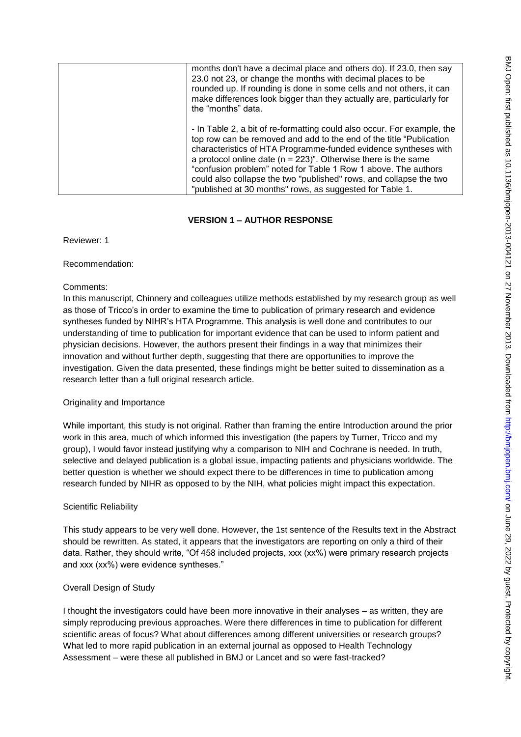| months don't have a decimal place and others do). If 23.0, then say<br>23.0 not 23, or change the months with decimal places to be<br>rounded up. If rounding is done in some cells and not others, it can<br>make differences look bigger than they actually are, particularly for<br>the "months" data.                                                                                                                                                                                    |
|----------------------------------------------------------------------------------------------------------------------------------------------------------------------------------------------------------------------------------------------------------------------------------------------------------------------------------------------------------------------------------------------------------------------------------------------------------------------------------------------|
| - In Table 2, a bit of re-formatting could also occur. For example, the<br>top row can be removed and add to the end of the title "Publication"<br>characteristics of HTA Programme-funded evidence syntheses with<br>a protocol online date ( $n = 223$ )". Otherwise there is the same<br>"confusion problem" noted for Table 1 Row 1 above. The authors<br>could also collapse the two "published" rows, and collapse the two<br>"published at 30 months" rows, as suggested for Table 1. |

## **VERSION 1 – AUTHOR RESPONSE**

Reviewer: 1

Recommendation:

## Comments:

In this manuscript, Chinnery and colleagues utilize methods established by my research group as well as those of Tricco's in order to examine the time to publication of primary research and evidence syntheses funded by NIHR's HTA Programme. This analysis is well done and contributes to our understanding of time to publication for important evidence that can be used to inform patient and physician decisions. However, the authors present their findings in a way that minimizes their innovation and without further depth, suggesting that there are opportunities to improve the investigation. Given the data presented, these findings might be better suited to dissemination as a research letter than a full original research article.

## Originality and Importance

While important, this study is not original. Rather than framing the entire Introduction around the prior work in this area, much of which informed this investigation (the papers by Turner, Tricco and my group), I would favor instead justifying why a comparison to NIH and Cochrane is needed. In truth, selective and delayed publication is a global issue, impacting patients and physicians worldwide. The better question is whether we should expect there to be differences in time to publication among research funded by NIHR as opposed to by the NIH, what policies might impact this expectation.

#### Scientific Reliability

This study appears to be very well done. However, the 1st sentence of the Results text in the Abstract should be rewritten. As stated, it appears that the investigators are reporting on only a third of their data. Rather, they should write, "Of 458 included projects, xxx (xx%) were primary research projects and xxx (xx%) were evidence syntheses."

## Overall Design of Study

I thought the investigators could have been more innovative in their analyses – as written, they are simply reproducing previous approaches. Were there differences in time to publication for different scientific areas of focus? What about differences among different universities or research groups? What led to more rapid publication in an external journal as opposed to Health Technology Assessment – were these all published in BMJ or Lancet and so were fast-tracked?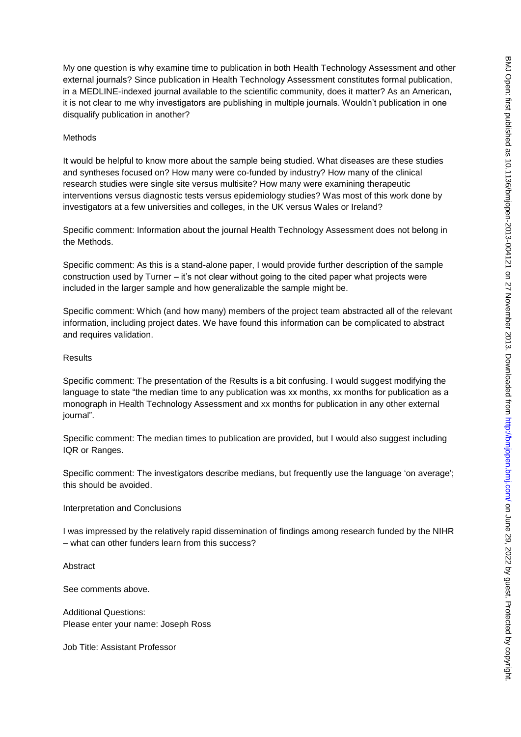My one question is why examine time to publication in both Health Technology Assessment and other external journals? Since publication in Health Technology Assessment constitutes formal publication, in a MEDLINE-indexed journal available to the scientific community, does it matter? As an American, it is not clear to me why investigators are publishing in multiple journals. Wouldn't publication in one disqualify publication in another?

### Methods

It would be helpful to know more about the sample being studied. What diseases are these studies and syntheses focused on? How many were co-funded by industry? How many of the clinical research studies were single site versus multisite? How many were examining therapeutic interventions versus diagnostic tests versus epidemiology studies? Was most of this work done by investigators at a few universities and colleges, in the UK versus Wales or Ireland?

Specific comment: Information about the journal Health Technology Assessment does not belong in the Methods.

Specific comment: As this is a stand-alone paper, I would provide further description of the sample construction used by Turner – it's not clear without going to the cited paper what projects were included in the larger sample and how generalizable the sample might be.

Specific comment: Which (and how many) members of the project team abstracted all of the relevant information, including project dates. We have found this information can be complicated to abstract and requires validation.

#### **Results**

Specific comment: The presentation of the Results is a bit confusing. I would suggest modifying the language to state "the median time to any publication was xx months, xx months for publication as a monograph in Health Technology Assessment and xx months for publication in any other external journal".

Specific comment: The median times to publication are provided, but I would also suggest including IQR or Ranges.

Specific comment: The investigators describe medians, but frequently use the language 'on average'; this should be avoided.

#### Interpretation and Conclusions

I was impressed by the relatively rapid dissemination of findings among research funded by the NIHR – what can other funders learn from this success?

Abstract

See comments above.

Additional Questions: Please enter your name: Joseph Ross

Job Title: Assistant Professor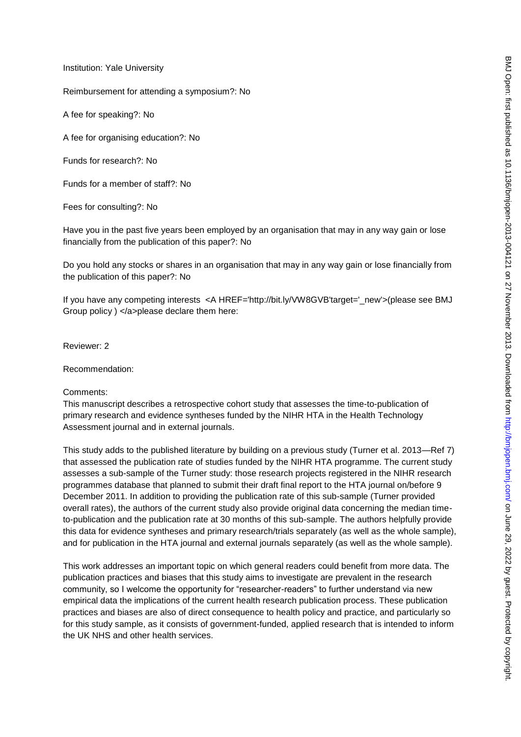Institution: Yale University

Reimbursement for attending a symposium?: No

A fee for speaking?: No

A fee for organising education?: No

Funds for research?: No

Funds for a member of staff?: No

Fees for consulting?: No

Have you in the past five years been employed by an organisation that may in any way gain or lose financially from the publication of this paper?: No

Do you hold any stocks or shares in an organisation that may in any way gain or lose financially from the publication of this paper?: No

If you have any competing interests <A HREF='http://bit.ly/VW8GVB'target='\_new'>(please see BMJ Group policy ) </a>please declare them here:

Reviewer: 2

Recommendation:

Comments:

This manuscript describes a retrospective cohort study that assesses the time-to-publication of primary research and evidence syntheses funded by the NIHR HTA in the Health Technology Assessment journal and in external journals.

This study adds to the published literature by building on a previous study (Turner et al. 2013—Ref 7) that assessed the publication rate of studies funded by the NIHR HTA programme. The current study assesses a sub-sample of the Turner study: those research projects registered in the NIHR research programmes database that planned to submit their draft final report to the HTA journal on/before 9 December 2011. In addition to providing the publication rate of this sub-sample (Turner provided overall rates), the authors of the current study also provide original data concerning the median timeto-publication and the publication rate at 30 months of this sub-sample. The authors helpfully provide this data for evidence syntheses and primary research/trials separately (as well as the whole sample), and for publication in the HTA journal and external journals separately (as well as the whole sample).

This work addresses an important topic on which general readers could benefit from more data. The publication practices and biases that this study aims to investigate are prevalent in the research community, so I welcome the opportunity for "researcher-readers" to further understand via new empirical data the implications of the current health research publication process. These publication practices and biases are also of direct consequence to health policy and practice, and particularly so for this study sample, as it consists of government-funded, applied research that is intended to inform the UK NHS and other health services.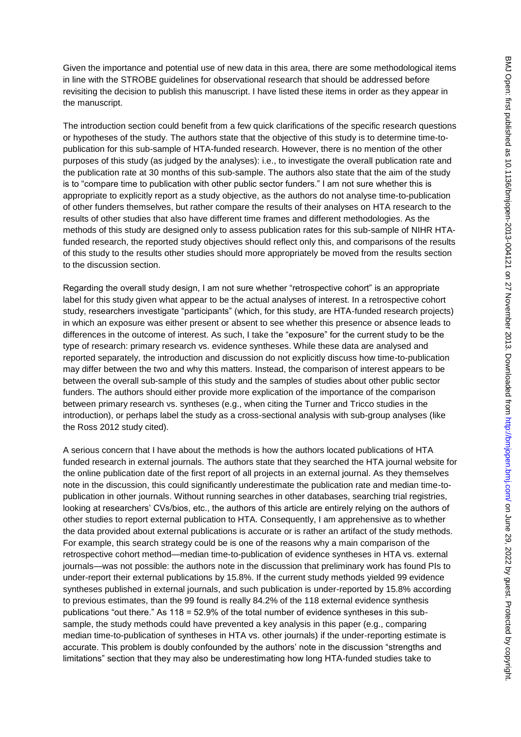Given the importance and potential use of new data in this area, there are some methodological items in line with the STROBE guidelines for observational research that should be addressed before revisiting the decision to publish this manuscript. I have listed these items in order as they appear in the manuscript.

The introduction section could benefit from a few quick clarifications of the specific research questions or hypotheses of the study. The authors state that the objective of this study is to determine time-topublication for this sub-sample of HTA-funded research. However, there is no mention of the other purposes of this study (as judged by the analyses): i.e., to investigate the overall publication rate and the publication rate at 30 months of this sub-sample. The authors also state that the aim of the study is to "compare time to publication with other public sector funders." I am not sure whether this is appropriate to explicitly report as a study objective, as the authors do not analyse time-to-publication of other funders themselves, but rather compare the results of their analyses on HTA research to the results of other studies that also have different time frames and different methodologies. As the methods of this study are designed only to assess publication rates for this sub-sample of NIHR HTAfunded research, the reported study objectives should reflect only this, and comparisons of the results of this study to the results other studies should more appropriately be moved from the results section to the discussion section.

Regarding the overall study design, I am not sure whether "retrospective cohort" is an appropriate label for this study given what appear to be the actual analyses of interest. In a retrospective cohort study, researchers investigate "participants" (which, for this study, are HTA-funded research projects) in which an exposure was either present or absent to see whether this presence or absence leads to differences in the outcome of interest. As such, I take the "exposure" for the current study to be the type of research: primary research vs. evidence syntheses. While these data are analysed and reported separately, the introduction and discussion do not explicitly discuss how time-to-publication may differ between the two and why this matters. Instead, the comparison of interest appears to be between the overall sub-sample of this study and the samples of studies about other public sector funders. The authors should either provide more explication of the importance of the comparison between primary research vs. syntheses (e.g., when citing the Turner and Tricco studies in the introduction), or perhaps label the study as a cross-sectional analysis with sub-group analyses (like the Ross 2012 study cited).

A serious concern that I have about the methods is how the authors located publications of HTA funded research in external journals. The authors state that they searched the HTA journal website for the online publication date of the first report of all projects in an external journal. As they themselves note in the discussion, this could significantly underestimate the publication rate and median time-topublication in other journals. Without running searches in other databases, searching trial registries, looking at researchers' CVs/bios, etc., the authors of this article are entirely relying on the authors of other studies to report external publication to HTA. Consequently, I am apprehensive as to whether the data provided about external publications is accurate or is rather an artifact of the study methods. For example, this search strategy could be is one of the reasons why a main comparison of the retrospective cohort method—median time-to-publication of evidence syntheses in HTA vs. external journals—was not possible: the authors note in the discussion that preliminary work has found PIs to under-report their external publications by 15.8%. If the current study methods yielded 99 evidence syntheses published in external journals, and such publication is under-reported by 15.8% according to previous estimates, than the 99 found is really 84.2% of the 118 external evidence synthesis publications "out there." As  $118 = 52.9\%$  of the total number of evidence syntheses in this subsample, the study methods could have prevented a key analysis in this paper (e.g., comparing median time-to-publication of syntheses in HTA vs. other journals) if the under-reporting estimate is accurate. This problem is doubly confounded by the authors' note in the discussion "strengths and limitations" section that they may also be underestimating how long HTA-funded studies take to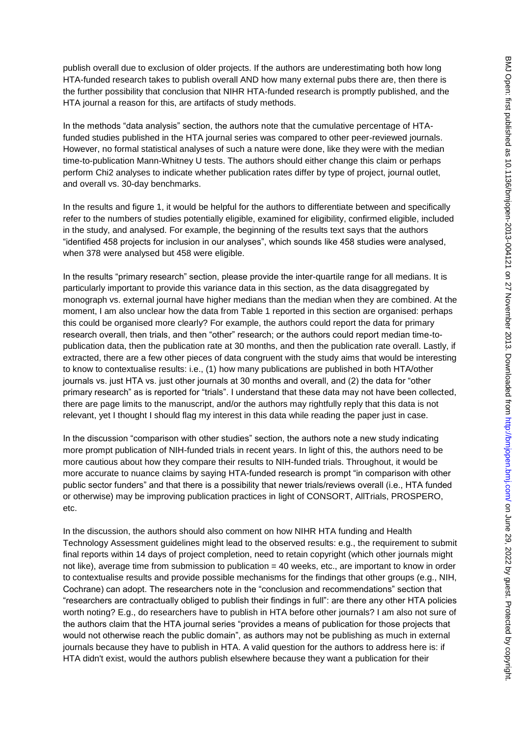publish overall due to exclusion of older projects. If the authors are underestimating both how long HTA-funded research takes to publish overall AND how many external pubs there are, then there is the further possibility that conclusion that NIHR HTA-funded research is promptly published, and the HTA journal a reason for this, are artifacts of study methods.

In the methods "data analysis" section, the authors note that the cumulative percentage of HTAfunded studies published in the HTA journal series was compared to other peer-reviewed journals. However, no formal statistical analyses of such a nature were done, like they were with the median time-to-publication Mann-Whitney U tests. The authors should either change this claim or perhaps perform Chi2 analyses to indicate whether publication rates differ by type of project, journal outlet, and overall vs. 30-day benchmarks.

In the results and figure 1, it would be helpful for the authors to differentiate between and specifically refer to the numbers of studies potentially eligible, examined for eligibility, confirmed eligible, included in the study, and analysed. For example, the beginning of the results text says that the authors ―identified 458 projects for inclusion in our analyses‖, which sounds like 458 studies were analysed, when 378 were analysed but 458 were eligible.

In the results "primary research" section, please provide the inter-quartile range for all medians. It is particularly important to provide this variance data in this section, as the data disaggregated by monograph vs. external journal have higher medians than the median when they are combined. At the moment, I am also unclear how the data from Table 1 reported in this section are organised: perhaps this could be organised more clearly? For example, the authors could report the data for primary research overall, then trials, and then "other" research; or the authors could report median time-topublication data, then the publication rate at 30 months, and then the publication rate overall. Lastly, if extracted, there are a few other pieces of data congruent with the study aims that would be interesting to know to contextualise results: i.e., (1) how many publications are published in both HTA/other journals vs. just HTA vs. just other journals at 30 months and overall, and (2) the data for "other primary research" as is reported for "trials". I understand that these data may not have been collected, there are page limits to the manuscript, and/or the authors may rightfully reply that this data is not relevant, yet I thought I should flag my interest in this data while reading the paper just in case.

In the discussion "comparison with other studies" section, the authors note a new study indicating more prompt publication of NIH-funded trials in recent years. In light of this, the authors need to be more cautious about how they compare their results to NIH-funded trials. Throughout, it would be more accurate to nuance claims by saying HTA-funded research is prompt "in comparison with other public sector funders" and that there is a possibility that newer trials/reviews overall (i.e., HTA funded or otherwise) may be improving publication practices in light of CONSORT, AllTrials, PROSPERO, etc.

In the discussion, the authors should also comment on how NIHR HTA funding and Health Technology Assessment guidelines might lead to the observed results: e.g., the requirement to submit final reports within 14 days of project completion, need to retain copyright (which other journals might not like), average time from submission to publication = 40 weeks, etc., are important to know in order to contextualise results and provide possible mechanisms for the findings that other groups (e.g., NIH, Cochrane) can adopt. The researchers note in the "conclusion and recommendations" section that ―researchers are contractually obliged to publish their findings in full‖: are there any other HTA policies worth noting? E.g., do researchers have to publish in HTA before other journals? I am also not sure of the authors claim that the HTA journal series "provides a means of publication for those projects that would not otherwise reach the public domain", as authors may not be publishing as much in external journals because they have to publish in HTA. A valid question for the authors to address here is: if HTA didn't exist, would the authors publish elsewhere because they want a publication for their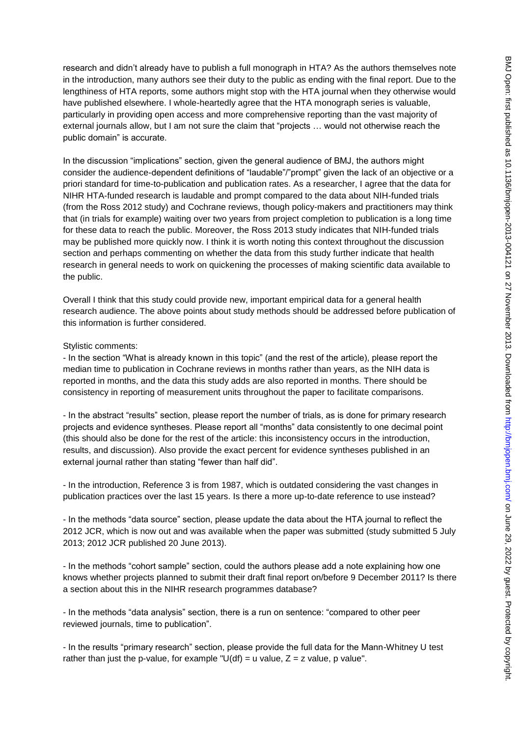research and didn't already have to publish a full monograph in HTA? As the authors themselves note in the introduction, many authors see their duty to the public as ending with the final report. Due to the lengthiness of HTA reports, some authors might stop with the HTA journal when they otherwise would have published elsewhere. I whole-heartedly agree that the HTA monograph series is valuable, particularly in providing open access and more comprehensive reporting than the vast majority of external journals allow, but I am not sure the claim that "projects ... would not otherwise reach the public domain" is accurate.

In the discussion "implications" section, given the general audience of BMJ, the authors might consider the audience-dependent definitions of "laudable"/"prompt" given the lack of an objective or a priori standard for time-to-publication and publication rates. As a researcher, I agree that the data for NIHR HTA-funded research is laudable and prompt compared to the data about NIH-funded trials (from the Ross 2012 study) and Cochrane reviews, though policy-makers and practitioners may think that (in trials for example) waiting over two years from project completion to publication is a long time for these data to reach the public. Moreover, the Ross 2013 study indicates that NIH-funded trials may be published more quickly now. I think it is worth noting this context throughout the discussion section and perhaps commenting on whether the data from this study further indicate that health research in general needs to work on quickening the processes of making scientific data available to the public.

Overall I think that this study could provide new, important empirical data for a general health research audience. The above points about study methods should be addressed before publication of this information is further considered.

#### Stylistic comments:

- In the section "What is already known in this topic" (and the rest of the article), please report the median time to publication in Cochrane reviews in months rather than years, as the NIH data is reported in months, and the data this study adds are also reported in months. There should be consistency in reporting of measurement units throughout the paper to facilitate comparisons.

- In the abstract "results" section, please report the number of trials, as is done for primary research projects and evidence syntheses. Please report all "months" data consistently to one decimal point (this should also be done for the rest of the article: this inconsistency occurs in the introduction, results, and discussion). Also provide the exact percent for evidence syntheses published in an external journal rather than stating "fewer than half did".

- In the introduction, Reference 3 is from 1987, which is outdated considering the vast changes in publication practices over the last 15 years. Is there a more up-to-date reference to use instead?

- In the methods "data source" section, please update the data about the HTA journal to reflect the 2012 JCR, which is now out and was available when the paper was submitted (study submitted 5 July 2013; 2012 JCR published 20 June 2013).

- In the methods "cohort sample" section, could the authors please add a note explaining how one knows whether projects planned to submit their draft final report on/before 9 December 2011? Is there a section about this in the NIHR research programmes database?

- In the methods "data analysis" section, there is a run on sentence: "compared to other peer reviewed journals, time to publication".

- In the results "primary research" section, please provide the full data for the Mann-Whitney U test rather than just the p-value, for example "U(df) = u value,  $Z = z$  value, p value".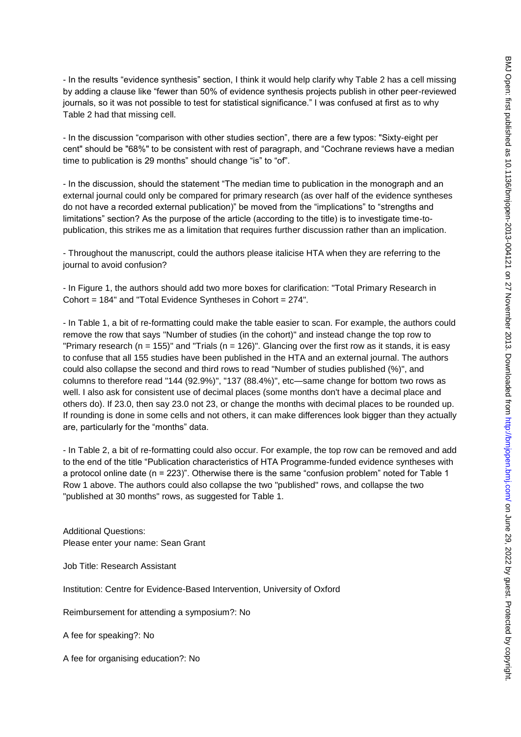- In the results "evidence synthesis" section, I think it would help clarify why Table 2 has a cell missing by adding a clause like "fewer than 50% of evidence synthesis projects publish in other peer-reviewed journals, so it was not possible to test for statistical significance.‖ I was confused at first as to why Table 2 had that missing cell.

- In the discussion "comparison with other studies section", there are a few typos: "Sixty-eight per cent" should be "68%" to be consistent with rest of paragraph, and "Cochrane reviews have a median time to publication is 29 months" should change "is" to "of".

- In the discussion, should the statement "The median time to publication in the monograph and an external journal could only be compared for primary research (as over half of the evidence syntheses do not have a recorded external publication)" be moved from the "implications" to "strengths and limitations" section? As the purpose of the article (according to the title) is to investigate time-topublication, this strikes me as a limitation that requires further discussion rather than an implication.

- Throughout the manuscript, could the authors please italicise HTA when they are referring to the journal to avoid confusion?

- In Figure 1, the authors should add two more boxes for clarification: "Total Primary Research in Cohort = 184" and "Total Evidence Syntheses in Cohort = 274".

- In Table 1, a bit of re-formatting could make the table easier to scan. For example, the authors could remove the row that says "Number of studies (in the cohort)" and instead change the top row to "Primary research ( $n = 155$ )" and "Trials ( $n = 126$ )". Glancing over the first row as it stands, it is easy to confuse that all 155 studies have been published in the HTA and an external journal. The authors could also collapse the second and third rows to read "Number of studies published (%)", and columns to therefore read "144 (92.9%)", "137 (88.4%)", etc—same change for bottom two rows as well. I also ask for consistent use of decimal places (some months don't have a decimal place and others do). If 23.0, then say 23.0 not 23, or change the months with decimal places to be rounded up. If rounding is done in some cells and not others, it can make differences look bigger than they actually are, particularly for the "months" data.

- In Table 2, a bit of re-formatting could also occur. For example, the top row can be removed and add to the end of the title "Publication characteristics of HTA Programme-funded evidence syntheses with a protocol online date ( $n = 223$ )". Otherwise there is the same "confusion problem" noted for Table 1 Row 1 above. The authors could also collapse the two "published" rows, and collapse the two "published at 30 months" rows, as suggested for Table 1.

Additional Questions: Please enter your name: Sean Grant

Job Title: Research Assistant

Institution: Centre for Evidence-Based Intervention, University of Oxford

Reimbursement for attending a symposium?: No

A fee for speaking?: No

A fee for organising education?: No